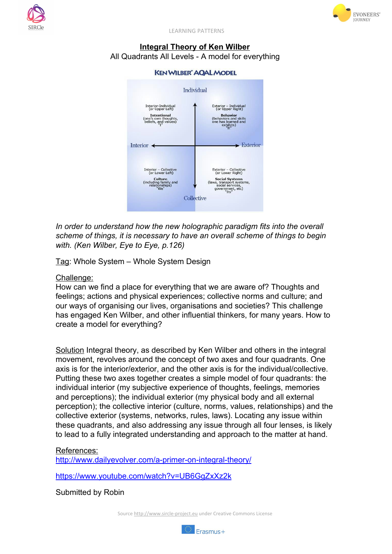



LEARNING PATTERNS

## **Integral Theory of Ken Wilber** All Quadrants All Levels - A model for everything



*In order to understand how the new holographic paradigm fits into the overall scheme of things, it is necessary to have an overall scheme of things to begin with. (Ken Wilber, Eye to Eye, p.126)*

Tag: Whole System – Whole System Design

Challenge:

How can we find a place for everything that we are aware of? Thoughts and feelings; actions and physical experiences; collective norms and culture; and our ways of organising our lives, organisations and societies? This challenge has engaged Ken Wilber, and other influential thinkers, for many years. How to create a model for everything?

Solution Integral theory, as described by Ken Wilber and others in the integral movement, revolves around the concept of two axes and four quadrants. One axis is for the interior/exterior, and the other axis is for the individual/collective. Putting these two axes together creates a simple model of four quadrants: the individual interior (my subjective experience of thoughts, feelings, memories and perceptions); the individual exterior (my physical body and all external perception); the collective interior (culture, norms, values, relationships) and the collective exterior (systems, networks, rules, laws). Locating any issue within these quadrants, and also addressing any issue through all four lenses, is likely to lead to a fully integrated understanding and approach to the matter at hand.

## References:

http://www.dailyevolver.com/a-primer-on-integral-theory/

<https://www.youtube.com/watch?v=UB6GgZxXz2k>

Submitted by Robin

Source [http://www.sircle-project.eu](http://www.sircle-project.eu/) under Creative Commons License